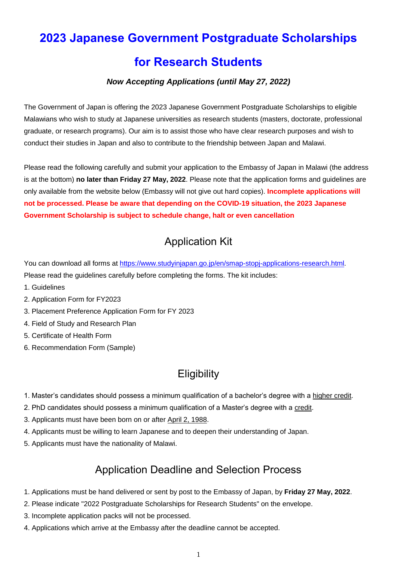# **2023 Japanese Government Postgraduate Scholarships for Research Students**

### *Now Accepting Applications (until May 27, 2022)*

The Government of Japan is offering the 2023 Japanese Government Postgraduate Scholarships to eligible Malawians who wish to study at Japanese universities as research students (masters, doctorate, professional graduate, or research programs). Our aim is to assist those who have clear research purposes and wish to conduct their studies in Japan and also to contribute to the friendship between Japan and Malawi.

Please read the following carefully and submit your application to the Embassy of Japan in Malawi (the address is at the bottom) **no later than Friday 27 May, 2022**. Please note that the application forms and guidelines are only available from the website below (Embassy will not give out hard copies). **Incomplete applications will not be processed. Please be aware that depending on the COVID-19 situation, the 2023 Japanese Government Scholarship is subject to schedule change, halt or even cancellation**

# Application Kit

You can download all forms at [https://www.studyinjapan.go.jp/en/smap-stopj-applications-research.html.](https://www.studyinjapan.go.jp/en/smap-stopj-applications-research.html) Please read the guidelines carefully before completing the forms. The kit includes:

- 1. Guidelines
- 2. Application Form for FY2023
- 3. Placement Preference Application Form for FY 2023
- 4. Field of Study and Research Plan
- 5. Certificate of Health Form
- 6. Recommendation Form (Sample)

## **Eligibility**

- 1. Master's candidates should possess a minimum qualification of a bachelor's degree with a higher credit.
- 2. PhD candidates should possess a minimum qualification of a Master's degree with a credit.
- 3. Applicants must have been born on or after April 2, 1988.
- 4. Applicants must be willing to learn Japanese and to deepen their understanding of Japan.
- 5. Applicants must have the nationality of Malawi.

### Application Deadline and Selection Process

- 1. Applications must be hand delivered or sent by post to the Embassy of Japan, by **Friday 27 May, 2022**.
- 2. Please indicate ''2022 Postgraduate Scholarships for Research Students" on the envelope.
- 3. Incomplete application packs will not be processed.
- 4. Applications which arrive at the Embassy after the deadline cannot be accepted.